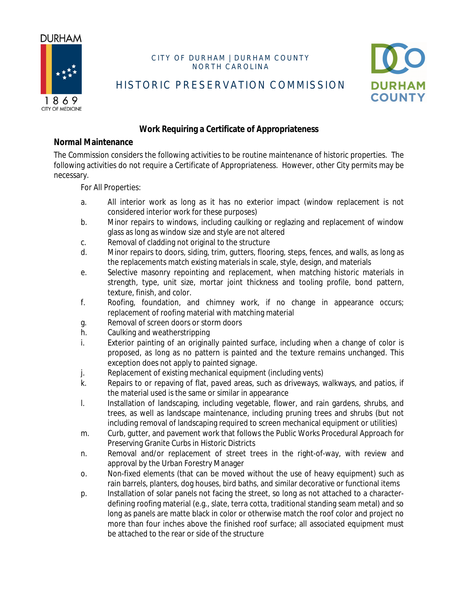

## CITY OF DURHAM | DURHAM COUNTY NORTH CAROLINA



HISTORIC PRESERVATION COMMISSION

# **Work Requiring a Certificate of Appropriateness**

#### **Normal Maintenance**

The Commission considers the following activities to be routine maintenance of historic properties. The following activities do not require a Certificate of Appropriateness. However, other City permits may be necessary.

For All Properties:

- a. All interior work as long as it has no exterior impact (window replacement is not considered interior work for these purposes)
- b. Minor repairs to windows, including caulking or reglazing and replacement of window glass as long as window size and style are not altered
- c. Removal of cladding not original to the structure
- d. Minor repairs to doors, siding, trim, gutters, flooring, steps, fences, and walls, as long as the replacements match existing materials in scale, style, design, and materials
- e. Selective masonry repointing and replacement, when matching historic materials in strength, type, unit size, mortar joint thickness and tooling profile, bond pattern, texture, finish, and color.
- f. Roofing, foundation, and chimney work, if no change in appearance occurs; replacement of roofing material with matching material
- g. Removal of screen doors or storm doors
- h. Caulking and weatherstripping
- i. Exterior painting of an originally painted surface, including when a change of color is proposed, as long as no pattern is painted and the texture remains unchanged. This exception does not apply to painted signage.
- j. Replacement of existing mechanical equipment (including vents)
- k. Repairs to or repaving of flat, paved areas, such as driveways, walkways, and patios, if the material used is the same or similar in appearance
- l. Installation of landscaping, including vegetable, flower, and rain gardens, shrubs, and trees, as well as landscape maintenance, including pruning trees and shrubs (but not including removal of landscaping required to screen mechanical equipment or utilities)
- m. Curb, gutter, and pavement work that follows the Public Works Procedural Approach for Preserving Granite Curbs in Historic Districts
- n. Removal and/or replacement of street trees in the right-of-way, with review and approval by the Urban Forestry Manager
- o. Non-fixed elements (that can be moved without the use of heavy equipment) such as rain barrels, planters, dog houses, bird baths, and similar decorative or functional items
- p. Installation of solar panels not facing the street, so long as not attached to a characterdefining roofing material (e.g., slate, terra cotta, traditional standing seam metal) and so long as panels are matte black in color or otherwise match the roof color and project no more than four inches above the finished roof surface; all associated equipment must be attached to the rear or side of the structure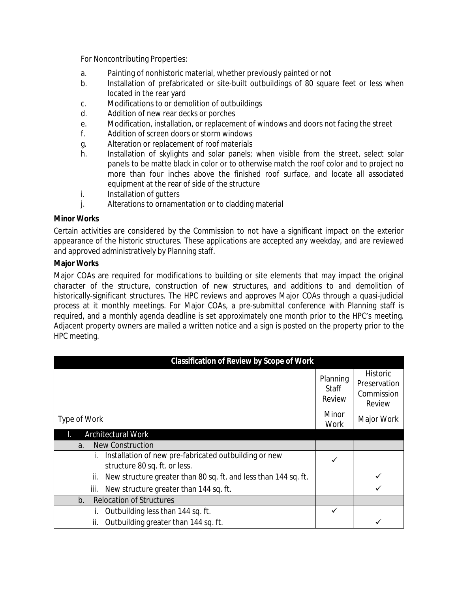For Noncontributing Properties:

- a. Painting of nonhistoric material, whether previously painted or not
- b. Installation of prefabricated or site-built outbuildings of 80 square feet or less when located in the rear yard
- c. Modifications to or demolition of outbuildings
- d. Addition of new rear decks or porches
- e. Modification, installation, or replacement of windows and doors not facing the street
- f. Addition of screen doors or storm windows
- g. Alteration or replacement of roof materials
- h. Installation of skylights and solar panels; when visible from the street, select solar panels to be matte black in color or to otherwise match the roof color and to project no more than four inches above the finished roof surface, and locate all associated equipment at the rear of side of the structure
- i. Installation of gutters
- j. Alterations to ornamentation or to cladding material

## **Minor Works**

Certain activities are considered by the Commission to not have a significant impact on the exterior appearance of the historic structures. These applications are accepted any weekday, and are reviewed and approved administratively by Planning staff.

### **Major Works**

Major COAs are required for modifications to building or site elements that may impact the original character of the structure, construction of new structures, and additions to and demolition of historically-significant structures. The HPC reviews and approves Major COAs through a quasi-judicial process at it monthly meetings. For Major COAs, a pre-submittal conference with Planning staff is required, and a monthly agenda deadline is set approximately one month prior to the HPC's meeting. Adjacent property owners are mailed a written notice and a sign is posted on the property prior to the HPC meeting.

| <b>Classification of Review by Scope of Work</b>                                       |                             |                                                         |
|----------------------------------------------------------------------------------------|-----------------------------|---------------------------------------------------------|
|                                                                                        | Planning<br>Staff<br>Review | <b>Historic</b><br>Preservation<br>Commission<br>Review |
| Type of Work                                                                           | Minor<br>Work               | Major Work                                              |
| <b>Architectural Work</b>                                                              |                             |                                                         |
| <b>New Construction</b><br>a <sub>1</sub>                                              |                             |                                                         |
| Installation of new pre-fabricated outbuilding or new<br>structure 80 sq. ft. or less. | ✓                           |                                                         |
| New structure greater than 80 sq. ft. and less than 144 sq. ft.<br>ii.                 |                             |                                                         |
| iii.<br>New structure greater than 144 sq. ft.                                         |                             |                                                         |
| <b>Relocation of Structures</b><br>b.                                                  |                             |                                                         |
| Outbuilding less than 144 sq. ft.                                                      | ✓                           |                                                         |
| Outbuilding greater than 144 sq. ft.<br>ii.                                            |                             |                                                         |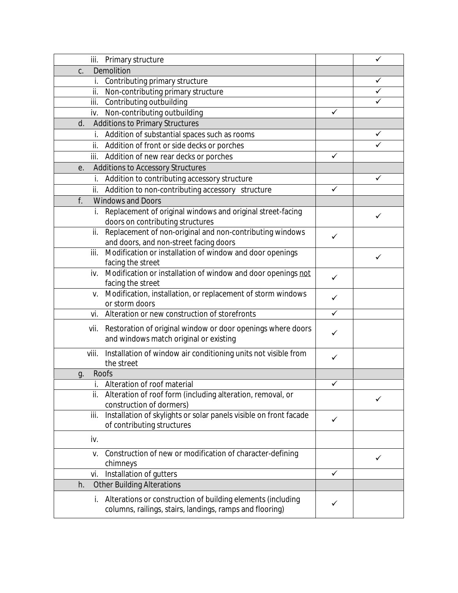| iii. Primary structure                                                    |              | ✓ |
|---------------------------------------------------------------------------|--------------|---|
| Demolition<br>C.                                                          |              |   |
| Contributing primary structure<br>İ.                                      |              |   |
| Non-contributing primary structure<br>ii.                                 |              |   |
| iii. Contributing outbuilding                                             |              |   |
| iv. Non-contributing outbuilding                                          | ✓            |   |
| Additions to Primary Structures<br>d.                                     |              |   |
| Addition of substantial spaces such as rooms                              |              |   |
| ii. Addition of front or side decks or porches                            |              |   |
| iii. Addition of new rear decks or porches                                | ✓            |   |
| Additions to Accessory Structures<br>е.                                   |              |   |
| Addition to contributing accessory structure<br>i.                        |              | ✓ |
| Addition to non-contributing accessory structure<br>ii.                   | ✓            |   |
| f.<br><b>Windows and Doors</b>                                            |              |   |
| Replacement of original windows and original street-facing                |              |   |
| doors on contributing structures                                          |              | ✓ |
| ii. Replacement of non-original and non-contributing windows              | ✓            |   |
| and doors, and non-street facing doors                                    |              |   |
| Modification or installation of window and door openings<br>iii.          |              | ✓ |
| facing the street                                                         |              |   |
| Modification or installation of window and door openings not<br>iv.       | ✓            |   |
| facing the street                                                         |              |   |
| Modification, installation, or replacement of storm windows<br>V.         | ✓            |   |
| or storm doors                                                            |              |   |
| Alteration or new construction of storefronts<br>vi.                      | $\checkmark$ |   |
| Restoration of original window or door openings where doors<br>vii.       | ✓            |   |
| and windows match original or existing                                    |              |   |
| Installation of window air conditioning units not visible from<br>viii.   |              |   |
| the street                                                                | ✓            |   |
| Roofs<br>g.                                                               |              |   |
| i. Alteration of roof material                                            | $\checkmark$ |   |
| Alteration of roof form (including alteration, removal, or<br>ii.         |              |   |
| construction of dormers)                                                  |              |   |
| Installation of skylights or solar panels visible on front facade<br>iii. | ✓            |   |
| of contributing structures                                                |              |   |
| iv.                                                                       |              |   |
| Construction of new or modification of character-defining<br>V.           |              |   |
| chimneys                                                                  |              | ✓ |
| Installation of gutters<br>vi.                                            | ✓            |   |
| <b>Other Building Alterations</b><br>h.                                   |              |   |
| i. Alterations or construction of building elements (including            |              |   |
| columns, railings, stairs, landings, ramps and flooring)                  | ✓            |   |
|                                                                           |              |   |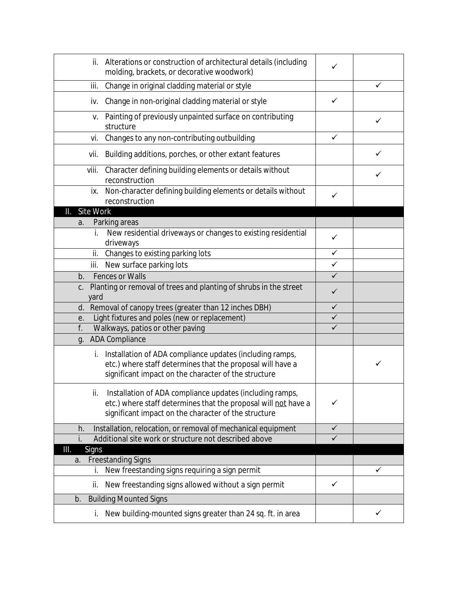| ii.                    | Alterations or construction of architectural details (including<br>molding, brackets, or decorative woodwork)                                                                      | ✓            |   |
|------------------------|------------------------------------------------------------------------------------------------------------------------------------------------------------------------------------|--------------|---|
| iii.                   | Change in original cladding material or style                                                                                                                                      |              | ✓ |
| iv.                    | Change in non-original cladding material or style                                                                                                                                  | ✓            |   |
| V.                     | Painting of previously unpainted surface on contributing<br>structure                                                                                                              |              | ✓ |
| vi.                    | Changes to any non-contributing outbuilding                                                                                                                                        | ✓            |   |
| vii.                   | Building additions, porches, or other extant features                                                                                                                              |              | ✓ |
| viii.                  | Character defining building elements or details without<br>reconstruction                                                                                                          |              | ✓ |
| ix.                    | Non-character defining building elements or details without<br>reconstruction                                                                                                      | ✓            |   |
| Site Work<br>Ш.        |                                                                                                                                                                                    |              |   |
| a.                     | Parking areas                                                                                                                                                                      |              |   |
|                        | New residential driveways or changes to existing residential<br>driveways                                                                                                          | ✓            |   |
|                        | ii. Changes to existing parking lots                                                                                                                                               | $\checkmark$ |   |
|                        | iii. New surface parking lots                                                                                                                                                      | $\checkmark$ |   |
| $b_{\cdot}$            | Fences or Walls                                                                                                                                                                    | $\checkmark$ |   |
| C <sub>1</sub><br>yard | Planting or removal of trees and planting of shrubs in the street                                                                                                                  | ✓            |   |
| d.                     | Removal of canopy trees (greater than 12 inches DBH)                                                                                                                               | $\checkmark$ |   |
| е.                     | Light fixtures and poles (new or replacement)                                                                                                                                      | $\checkmark$ |   |
| f.                     | Walkways, patios or other paving                                                                                                                                                   | $\checkmark$ |   |
| g.                     | <b>ADA Compliance</b>                                                                                                                                                              |              |   |
| İ.                     | Installation of ADA compliance updates (including ramps,<br>etc.) where staff determines that the proposal will have a<br>significant impact on the character of the structure     |              | ✓ |
| Ш.                     | Installation of ADA compliance updates (including ramps,<br>etc.) where staff determines that the proposal will not have a<br>significant impact on the character of the structure | ✓            |   |
| h.                     | Installation, relocation, or removal of mechanical equipment                                                                                                                       | $\checkmark$ |   |
| i.                     | Additional site work or structure not described above                                                                                                                              | $\checkmark$ |   |
| <b>Signs</b><br>Ш.     |                                                                                                                                                                                    |              |   |
| a.                     | <b>Freestanding Signs</b>                                                                                                                                                          |              |   |
| İ.                     | New freestanding signs requiring a sign permit                                                                                                                                     |              | ✓ |
| ii.                    | New freestanding signs allowed without a sign permit                                                                                                                               | ✓            |   |
| b.                     | <b>Building Mounted Signs</b>                                                                                                                                                      |              |   |
| İ.                     | New building-mounted signs greater than 24 sq. ft. in area                                                                                                                         |              | ✓ |